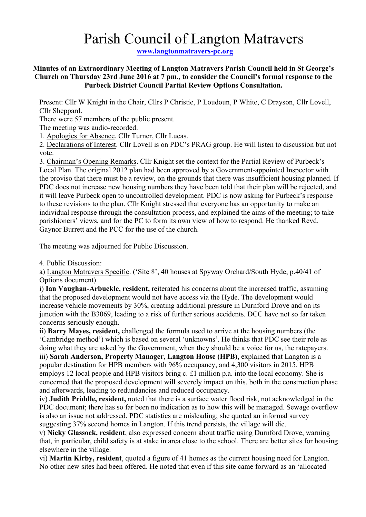# Parish Council of Langton Matravers

**www.langtonmatravers-pc.org**

## **Minutes of an Extraordinary Meeting of Langton Matravers Parish Council held in St George's Church on Thursday 23rd June 2016 at 7 pm., to consider the Council's formal response to the Purbeck District Council Partial Review Options Consultation.**

Present: Cllr W Knight in the Chair, Cllrs P Christie, P Loudoun, P White, C Drayson, Cllr Lovell, Cllr Sheppard.

There were 57 members of the public present.

The meeting was audio-recorded.

1. Apologies for Absence. Cllr Turner, Cllr Lucas.

2. Declarations of Interest. Cllr Lovell is on PDC's PRAG group. He will listen to discussion but not vote.

3. Chairman's Opening Remarks. Cllr Knight set the context for the Partial Review of Purbeck's Local Plan. The original 2012 plan had been approved by a Government-appointed Inspector with the proviso that there must be a review, on the grounds that there was insufficient housing planned. If PDC does not increase new housing numbers they have been told that their plan will be rejected, and it will leave Purbeck open to uncontrolled development. PDC is now asking for Purbeck's response to these revisions to the plan. Cllr Knight stressed that everyone has an opportunity to make an individual response through the consultation process, and explained the aims of the meeting; to take parishioners' views, and for the PC to form its own view of how to respond. He thanked Revd. Gaynor Burrett and the PCC for the use of the church.

The meeting was adjourned for Public Discussion.

4. Public Discussion:

a) Langton Matravers Specific. ('Site 8', 40 houses at Spyway Orchard/South Hyde, p.40/41 of Options document)

i) **Ian Vaughan-Arbuckle, resident,** reiterated his concerns about the increased traffic**,** assuming that the proposed development would not have access via the Hyde. The development would increase vehicle movements by 30%, creating additional pressure in Durnford Drove and on its junction with the B3069, leading to a risk of further serious accidents. DCC have not so far taken concerns seriously enough.

ii) **Barry Mayes, resident,** challenged the formula used to arrive at the housing numbers (the 'Cambridge method') which is based on several 'unknowns'. He thinks that PDC see their role as doing what they are asked by the Government, when they should be a voice for us, the ratepayers. iii) **Sarah Anderson, Property Manager, Langton House (HPB),** explained that Langton is a popular destination for HPB members with 96% occupancy, and 4,300 visitors in 2015. HPB employs 12 local people and HPB visitors bring c. £1 million p.a. into the local economy. She is concerned that the proposed development will severely impact on this, both in the construction phase and afterwards, leading to redundancies and reduced occupancy.

iv) **Judith Priddle, resident,** noted that there is a surface water flood risk, not acknowledged in the PDC document; there has so far been no indication as to how this will be managed. Sewage overflow is also an issue not addressed. PDC statistics are misleading; she quoted an informal survey suggesting 37% second homes in Langton. If this trend persists, the village will die.

v) **Nicky Glassock, resident**, also expressed concern about traffic using Durnford Drove, warning that, in particular, child safety is at stake in area close to the school. There are better sites for housing elsewhere in the village.

vi) **Martin Kirby, resident**, quoted a figure of 41 homes as the current housing need for Langton. No other new sites had been offered. He noted that even if this site came forward as an 'allocated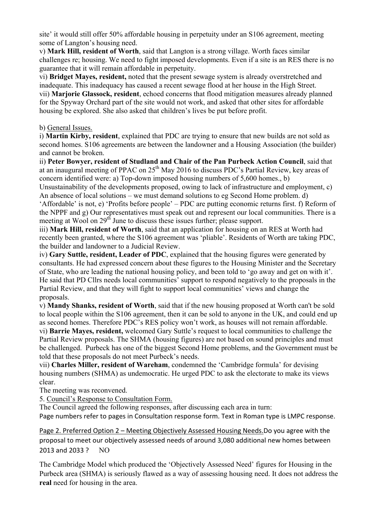site' it would still offer 50% affordable housing in perpetuity under an S106 agreement, meeting some of Langton's housing need.

v) **Mark Hill, resident of Worth**, said that Langton is a strong village. Worth faces similar challenges re; housing. We need to fight imposed developments. Even if a site is an RES there is no guarantee that it will remain affordable in perpetuity.

vi) **Bridget Mayes, resident,** noted that the present sewage system is already overstretched and inadequate. This inadequacy has caused a recent sewage flood at her house in the High Street. vii) **Marjorie Glassock, resident**, echoed concerns that flood mitigation measures already planned for the Spyway Orchard part of the site would not work, and asked that other sites for affordable housing be explored. She also asked that children's lives be put before profit.

# b) General Issues.

i) **Martin Kirby, resident**, explained that PDC are trying to ensure that new builds are not sold as second homes. S106 agreements are between the landowner and a Housing Association (the builder) and cannot be broken.

ii) **Peter Bowyer, resident of Studland and Chair of the Pan Purbeck Action Council**, said that at an inaugural meeting of PPAC on 25<sup>th</sup> May 2016 to discuss PDC's Partial Review, key areas of concern identified were: a) Top-down imposed housing numbers of 5,600 homes., b)

Unsustainability of the developments proposed, owing to lack of infrastructure and employment, c) An absence of local solutions – we must demand solutions to eg Second Home problem. d)

'Affordable' is not, e) 'Profits before people' – PDC are putting economic returns first. f) Reform of the NPPF and g) Our representatives must speak out and represent our local communities. There is a meeting at Wool on 29<sup>th</sup> June to discuss these issues further; please support.

iii) **Mark Hill, resident of Worth**, said that an application for housing on an RES at Worth had recently been granted, where the S106 agreement was 'pliable'. Residents of Worth are taking PDC, the builder and landowner to a Judicial Review.

iv) **Gary Suttle, resident, Leader of PDC**, explained that the housing figures were generated by consultants. He had expressed concern about these figures to the Housing Minister and the Secretary of State, who are leading the national housing policy, and been told to 'go away and get on with it'. He said that PD Cllrs needs local communities' support to respond negatively to the proposals in the Partial Review, and that they will fight to support local communities' views and change the proposals.

v) **Mandy Shanks, resident of Worth**, said that if the new housing proposed at Worth can't be sold to local people within the S106 agreement, then it can be sold to anyone in the UK, and could end up as second homes. Therefore PDC's RES policy won't work, as houses will not remain affordable. vi) **Barrie Mayes, resident,** welcomed Gary Suttle's request to local communities to challenge the Partial Review proposals. The SHMA (housing figures) are not based on sound principles and must be challenged. Purbeck has one of the biggest Second Home problems, and the Government must be told that these proposals do not meet Purbeck's needs.

vii) **Charles Miller, resident of Wareham**, condemned the 'Cambridge formula' for devising housing numbers (SHMA) as undemocratic. He urged PDC to ask the electorate to make its views clear.

The meeting was reconvened.

5. Council's Response to Consultation Form.

The Council agreed the following responses, after discussing each area in turn: Page numbers refer to pages in Consultation response form. Text in Roman type is LMPC response.

Page 2. Preferred Option 2 – Meeting Objectively Assessed Housing Needs.Do you agree with the proposal to meet our objectively assessed needs of around 3,080 additional new homes between  $2013$  and  $2033$  ? NO

The Cambridge Model which produced the 'Objectively Assessed Need' figures for Housing in the Purbeck area (SHMA) is seriously flawed as a way of assessing housing need. It does not address the **real** need for housing in the area.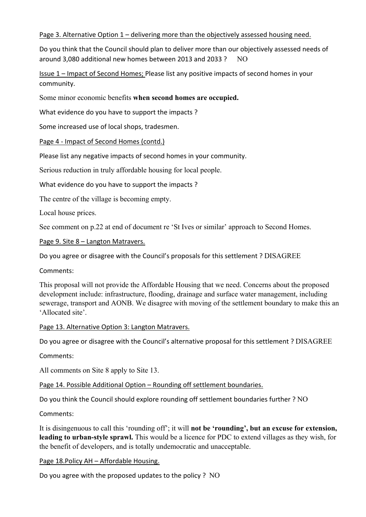## Page 3. Alternative Option  $1$  – delivering more than the objectively assessed housing need.

Do you think that the Council should plan to deliver more than our objectively assessed needs of around 3.080 additional new homes between 2013 and 2033 ?  $\sim$  NO

Issue 1 – Impact of Second Homes; Please list any positive impacts of second homes in your community.

Some minor economic benefits **when second homes are occupied.**

What evidence do you have to support the impacts?

Some increased use of local shops, tradesmen.

Page 4 - Impact of Second Homes (contd.)

Please list any negative impacts of second homes in your community.

Serious reduction in truly affordable housing for local people.

What evidence do you have to support the impacts?

The centre of the village is becoming empty.

Local house prices.

See comment on p.22 at end of document re 'St Ives or similar' approach to Second Homes.

Page 9. Site 8 - Langton Matravers.

Do you agree or disagree with the Council's proposals for this settlement ? DISAGREE

Comments:

This proposal will not provide the Affordable Housing that we need. Concerns about the proposed development include: infrastructure, flooding, drainage and surface water management, including sewerage, transport and AONB. We disagree with moving of the settlement boundary to make this an 'Allocated site'.

#### Page 13. Alternative Option 3: Langton Matravers.

Do you agree or disagree with the Council's alternative proposal for this settlement ? DISAGREE

Comments:

All comments on Site 8 apply to Site 13.

Page 14. Possible Additional Option - Rounding off settlement boundaries.

Do you think the Council should explore rounding off settlement boundaries further ? NO

Comments:

It is disingenuous to call this 'rounding off'; it will **not be 'rounding', but an excuse for extension, leading to urban-style sprawl.** This would be a licence for PDC to extend villages as they wish, for the benefit of developers, and is totally undemocratic and unacceptable.

#### Page 18. Policy AH - Affordable Housing.

Do you agree with the proposed updates to the policy ?  $NO$